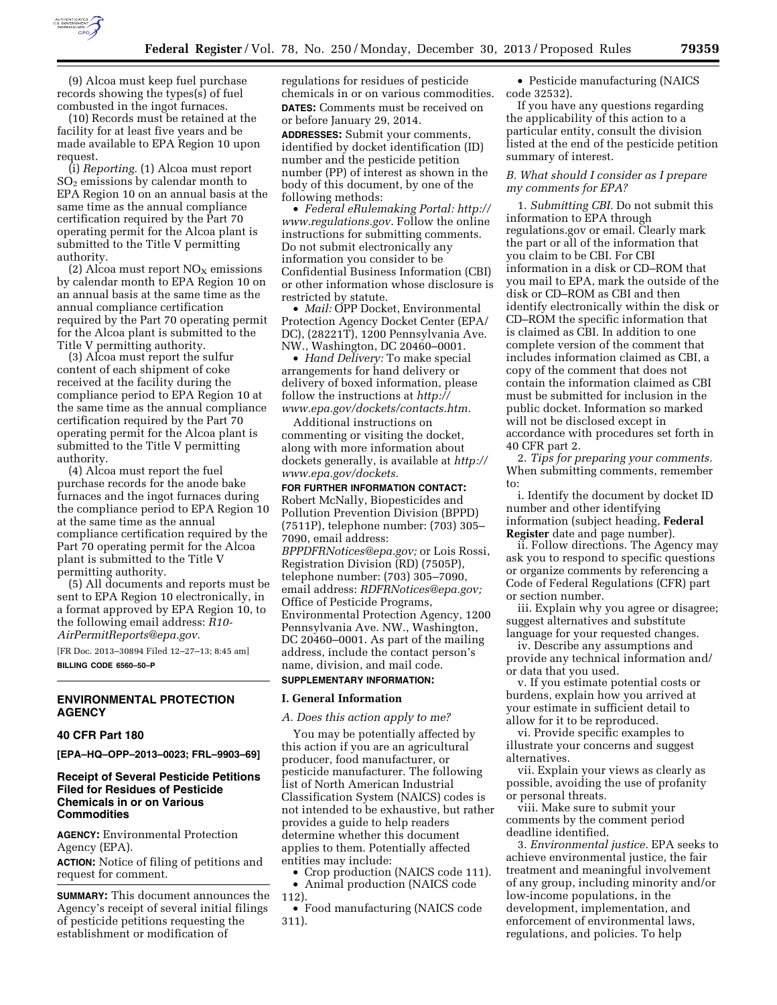

(9) Alcoa must keep fuel purchase records showing the types(s) of fuel combusted in the ingot furnaces.

(10) Records must be retained at the facility for at least five years and be made available to EPA Region 10 upon request.

(i) *Reporting.* (1) Alcoa must report  $SO<sub>2</sub>$  emissions by calendar month to EPA Region 10 on an annual basis at the same time as the annual compliance certification required by the Part 70 operating permit for the Alcoa plant is submitted to the Title V permitting authority.

(2) Alcoa must report  $NO<sub>x</sub>$  emissions by calendar month to EPA Region 10 on an annual basis at the same time as the annual compliance certification required by the Part 70 operating permit for the Alcoa plant is submitted to the Title V permitting authority.

(3) Alcoa must report the sulfur content of each shipment of coke received at the facility during the compliance period to EPA Region 10 at the same time as the annual compliance certification required by the Part 70 operating permit for the Alcoa plant is submitted to the Title V permitting authority.

(4) Alcoa must report the fuel purchase records for the anode bake furnaces and the ingot furnaces during the compliance period to EPA Region 10 at the same time as the annual compliance certification required by the Part 70 operating permit for the Alcoa plant is submitted to the Title V permitting authority.

(5) All documents and reports must be sent to EPA Region 10 electronically, in a format approved by EPA Region 10, to the following email address: *[R10-](mailto:R10-AirPermitReports@epa.gov) [AirPermitReports@epa.gov.](mailto:R10-AirPermitReports@epa.gov)* 

[FR Doc. 2013–30894 Filed 12–27–13; 8:45 am] **BILLING CODE 6560–50–P** 

### **ENVIRONMENTAL PROTECTION AGENCY**

## **40 CFR Part 180**

**[EPA–HQ–OPP–2013–0023; FRL–9903–69]** 

## **Receipt of Several Pesticide Petitions Filed for Residues of Pesticide Chemicals in or on Various Commodities**

**AGENCY:** Environmental Protection Agency (EPA).

**ACTION:** Notice of filing of petitions and request for comment.

**SUMMARY:** This document announces the Agency's receipt of several initial filings of pesticide petitions requesting the establishment or modification of

regulations for residues of pesticide chemicals in or on various commodities. **DATES:** Comments must be received on or before January 29, 2014.

**ADDRESSES:** Submit your comments, identified by docket identification (ID) number and the pesticide petition number (PP) of interest as shown in the body of this document, by one of the following methods:

• *Federal eRulemaking Portal: [http://](http://www.regulations.gov)  [www.regulations.gov.](http://www.regulations.gov)* Follow the online instructions for submitting comments. Do not submit electronically any information you consider to be Confidential Business Information (CBI) or other information whose disclosure is restricted by statute.

• *Mail:* OPP Docket, Environmental Protection Agency Docket Center (EPA/ DC), (28221T), 1200 Pennsylvania Ave. NW., Washington, DC 20460–0001.

• *Hand Delivery:* To make special arrangements for hand delivery or delivery of boxed information, please follow the instructions at *[http://](http://www.epa.gov/dockets/contacts.htm)  [www.epa.gov/dockets/contacts.htm.](http://www.epa.gov/dockets/contacts.htm)* 

Additional instructions on commenting or visiting the docket, along with more information about dockets generally, is available at *[http://](http://www.epa.gov/dockets) [www.epa.gov/dockets.](http://www.epa.gov/dockets)* 

**FOR FURTHER INFORMATION CONTACT:**  Robert McNally, Biopesticides and Pollution Prevention Division (BPPD) (7511P), telephone number: (703) 305– 7090, email address: *[BPPDFRNotices@epa.gov;](mailto:BPPDFRNotices@epa.gov)* or Lois Rossi, Registration Division (RD) (7505P), telephone number: (703) 305–7090, email address: *[RDFRNotices@epa.gov;](mailto:RDFRNotices@epa.gov)*  Office of Pesticide Programs, Environmental Protection Agency, 1200 Pennsylvania Ave. NW., Washington, DC 20460–0001. As part of the mailing address, include the contact person's name, division, and mail code. **SUPPLEMENTARY INFORMATION:** 

## **I. General Information**

*A. Does this action apply to me?* 

You may be potentially affected by this action if you are an agricultural producer, food manufacturer, or pesticide manufacturer. The following list of North American Industrial Classification System (NAICS) codes is not intended to be exhaustive, but rather provides a guide to help readers determine whether this document applies to them. Potentially affected entities may include:

• Crop production (NAICS code 111).

• Animal production (NAICS code 112).

• Food manufacturing (NAICS code 311).

• Pesticide manufacturing (NAICS code 32532).

If you have any questions regarding the applicability of this action to a particular entity, consult the division listed at the end of the pesticide petition summary of interest.

#### *B. What should I consider as I prepare my comments for EPA?*

1. *Submitting CBI.* Do not submit this information to EPA through regulations.gov or email. Clearly mark the part or all of the information that you claim to be CBI. For CBI information in a disk or CD–ROM that you mail to EPA, mark the outside of the disk or CD–ROM as CBI and then identify electronically within the disk or CD–ROM the specific information that is claimed as CBI. In addition to one complete version of the comment that includes information claimed as CBI, a copy of the comment that does not contain the information claimed as CBI must be submitted for inclusion in the public docket. Information so marked will not be disclosed except in accordance with procedures set forth in 40 CFR part 2.

2. *Tips for preparing your comments.*  When submitting comments, remember to:

i. Identify the document by docket ID number and other identifying information (subject heading, **Federal Register** date and page number).

ii. Follow directions. The Agency may ask you to respond to specific questions or organize comments by referencing a Code of Federal Regulations (CFR) part or section number.

iii. Explain why you agree or disagree; suggest alternatives and substitute language for your requested changes.

iv. Describe any assumptions and provide any technical information and/ or data that you used.

v. If you estimate potential costs or burdens, explain how you arrived at your estimate in sufficient detail to allow for it to be reproduced.

vi. Provide specific examples to illustrate your concerns and suggest alternatives.

vii. Explain your views as clearly as possible, avoiding the use of profanity or personal threats.

viii. Make sure to submit your comments by the comment period deadline identified.

3. *Environmental justice.* EPA seeks to achieve environmental justice, the fair treatment and meaningful involvement of any group, including minority and/or low-income populations, in the development, implementation, and enforcement of environmental laws, regulations, and policies. To help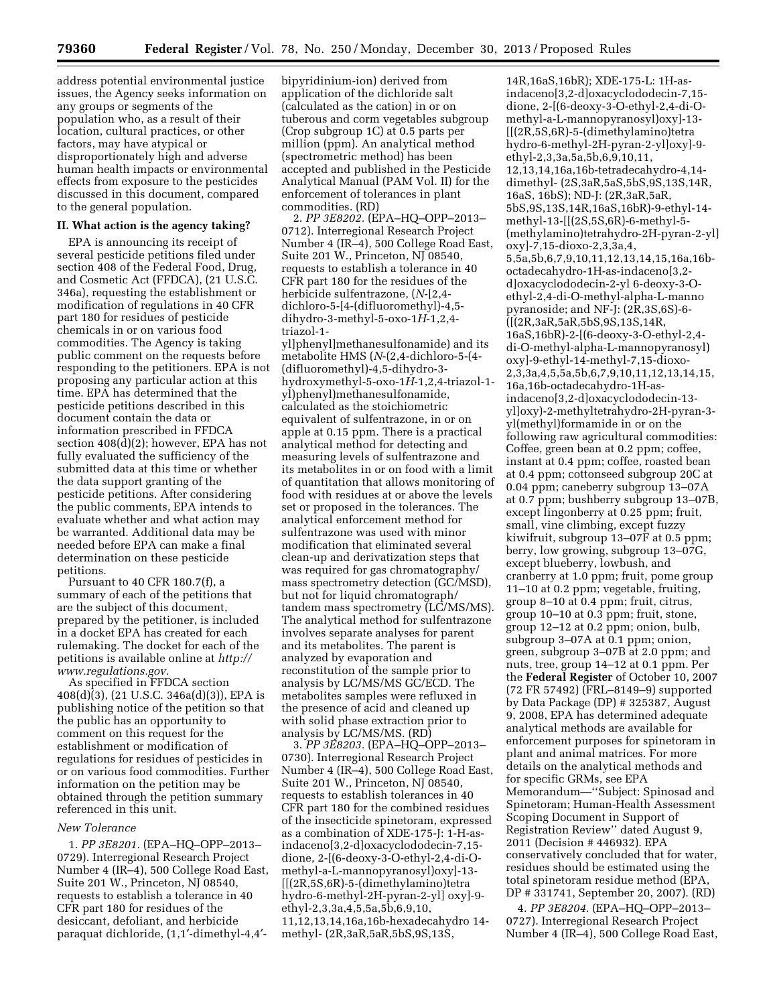address potential environmental justice issues, the Agency seeks information on any groups or segments of the population who, as a result of their location, cultural practices, or other factors, may have atypical or disproportionately high and adverse human health impacts or environmental effects from exposure to the pesticides discussed in this document, compared to the general population.

#### **II. What action is the agency taking?**

EPA is announcing its receipt of several pesticide petitions filed under section 408 of the Federal Food, Drug, and Cosmetic Act (FFDCA), (21 U.S.C. 346a), requesting the establishment or modification of regulations in 40 CFR part 180 for residues of pesticide chemicals in or on various food commodities. The Agency is taking public comment on the requests before responding to the petitioners. EPA is not proposing any particular action at this time. EPA has determined that the pesticide petitions described in this document contain the data or information prescribed in FFDCA section 408(d)(2); however, EPA has not fully evaluated the sufficiency of the submitted data at this time or whether the data support granting of the pesticide petitions. After considering the public comments, EPA intends to evaluate whether and what action may be warranted. Additional data may be needed before EPA can make a final determination on these pesticide petitions.

Pursuant to 40 CFR 180.7(f), a summary of each of the petitions that are the subject of this document, prepared by the petitioner, is included in a docket EPA has created for each rulemaking. The docket for each of the petitions is available online at *[http://](http://www.regulations.gov) [www.regulations.gov.](http://www.regulations.gov)* 

As specified in FFDCA section 408(d)(3), (21 U.S.C. 346a(d)(3)), EPA is publishing notice of the petition so that the public has an opportunity to comment on this request for the establishment or modification of regulations for residues of pesticides in or on various food commodities. Further information on the petition may be obtained through the petition summary referenced in this unit.

### *New Tolerance*

1. *PP 3E8201.* (EPA–HQ–OPP–2013– 0729). Interregional Research Project Number 4 (IR–4), 500 College Road East, Suite 201 W., Princeton, NJ 08540, requests to establish a tolerance in 40 CFR part 180 for residues of the desiccant, defoliant, and herbicide paraquat dichloride, (1,1′-dimethyl-4,4′-

bipyridinium-ion) derived from application of the dichloride salt (calculated as the cation) in or on tuberous and corm vegetables subgroup (Crop subgroup 1C) at 0.5 parts per million (ppm). An analytical method (spectrometric method) has been accepted and published in the Pesticide Analytical Manual (PAM Vol. II) for the enforcement of tolerances in plant commodities. (RD)

2. *PP 3E8202.* (EPA–HQ–OPP–2013– 0712). Interregional Research Project Number 4 (IR–4), 500 College Road East, Suite 201 W., Princeton, NJ 08540, requests to establish a tolerance in 40 CFR part 180 for the residues of the herbicide sulfentrazone, (*N*-[2,4 dichloro-5-[4-(difluoromethyl)-4,5 dihydro-3-methyl-5-oxo-1*H*-1,2,4 triazol-1-

yl]phenyl]methanesulfonamide) and its metabolite HMS (*N*-(2,4-dichloro-5-(4- (difluoromethyl)-4,5-dihydro-3 hydroxymethyl-5-oxo-1*H*-1,2,4-triazol-1 yl)phenyl)methanesulfonamide, calculated as the stoichiometric equivalent of sulfentrazone, in or on apple at 0.15 ppm. There is a practical analytical method for detecting and measuring levels of sulfentrazone and its metabolites in or on food with a limit of quantitation that allows monitoring of food with residues at or above the levels set or proposed in the tolerances. The analytical enforcement method for sulfentrazone was used with minor modification that eliminated several clean-up and derivatization steps that was required for gas chromatography/ mass spectrometry detection (GC/MSD), but not for liquid chromatograph/ tandem mass spectrometry (LC/MS/MS). The analytical method for sulfentrazone involves separate analyses for parent and its metabolites. The parent is analyzed by evaporation and reconstitution of the sample prior to analysis by LC/MS/MS GC/ECD. The metabolites samples were refluxed in the presence of acid and cleaned up with solid phase extraction prior to analysis by LC/MS/MS. (RD)

3. *PP 3E8203.* (EPA–HQ–OPP–2013– 0730). Interregional Research Project Number 4 (IR–4), 500 College Road East, Suite 201 W., Princeton, NJ 08540, requests to establish tolerances in 40 CFR part 180 for the combined residues of the insecticide spinetoram, expressed as a combination of XDE-175-J: 1-H-asindaceno[3,2-d]oxacyclododecin-7,15 dione, 2-[(6-deoxy-3-O-ethyl-2,4-di-Omethyl-a-L-mannopyranosyl)oxy]-13- [[(2R,5S,6R)-5-(dimethylamino)tetra hydro-6-methyl-2H-pyran-2-yl] oxy]-9 ethyl-2,3,3a,4,5,5a,5b,6,9,10, 11,12,13,14,16a,16b-hexadecahydro 14 methyl- (2R,3aR,5aR,5bS,9S,13S,

14R,16aS,16bR); XDE-175-L: 1H-asindaceno[3,2-d]oxacyclododecin-7,15 dione, 2-[(6-deoxy-3-O-ethyl-2,4-di-Omethyl-a-L-mannopyranosyl)oxy]-13- [[(2R,5S,6R)-5-(dimethylamino)tetra hydro-6-methyl-2H-pyran-2-yl]oxy]-9 ethyl-2,3,3a,5a,5b,6,9,10,11, 12,13,14,16a,16b-tetradecahydro-4,14 dimethyl- (2S,3aR,5aS,5bS,9S,13S,14R, 16aS, 16bS); ND-J: (2R,3aR,5aR, 5bS,9S,13S,14R,16aS,16bR)-9-ethyl-14 methyl-13-[[(2S,5S,6R)-6-methyl-5- (methylamino)tetrahydro-2H-pyran-2-yl] oxy]-7,15-dioxo-2,3,3a,4, 5,5a,5b,6,7,9,10,11,12,13,14,15,16a,16boctadecahydro-1H-as-indaceno[3,2 d]oxacyclododecin-2-yl 6-deoxy-3-Oethyl-2,4-di-O-methyl-alpha-L-manno pyranoside; and NF-J: (2R,3S,6S)-6- ([(2R,3aR,5aR,5bS,9S,13S,14R, 16aS,16bR)-2-[(6-deoxy-3-O-ethyl-2,4 di-O-methyl-alpha-L-mannopyranosyl) oxy]-9-ethyl-14-methyl-7,15-dioxo-2,3,3a,4,5,5a,5b,6,7,9,10,11,12,13,14,15, 16a,16b-octadecahydro-1H-asindaceno[3,2-d]oxacyclododecin-13 yl]oxy)-2-methyltetrahydro-2H-pyran-3 yl(methyl)formamide in or on the following raw agricultural commodities: Coffee, green bean at 0.2 ppm; coffee, instant at 0.4 ppm; coffee, roasted bean at 0.4 ppm; cottonseed subgroup 20C at 0.04 ppm; caneberry subgroup 13–07A at 0.7 ppm; bushberry subgroup 13–07B, except lingonberry at 0.25 ppm; fruit, small, vine climbing, except fuzzy kiwifruit, subgroup 13–07F at 0.5 ppm; berry, low growing, subgroup 13–07G, except blueberry, lowbush, and cranberry at 1.0 ppm; fruit, pome group 11–10 at 0.2 ppm; vegetable, fruiting, group 8–10 at 0.4 ppm; fruit, citrus, group 10–10 at 0.3 ppm; fruit, stone, group 12–12 at 0.2 ppm; onion, bulb, subgroup 3–07A at 0.1 ppm; onion, green, subgroup 3–07B at 2.0 ppm; and nuts, tree, group 14–12 at 0.1 ppm. Per the **Federal Register** of October 10, 2007 (72 FR 57492) (FRL–8149–9) supported by Data Package (DP) # 325387, August 9, 2008, EPA has determined adequate analytical methods are available for enforcement purposes for spinetoram in plant and animal matrices. For more details on the analytical methods and for specific GRMs, see EPA Memorandum—''Subject: Spinosad and Spinetoram; Human-Health Assessment Scoping Document in Support of Registration Review'' dated August 9, 2011 (Decision # 446932). EPA conservatively concluded that for water, residues should be estimated using the total spinetoram residue method (EPA, DP # 331741, September 20, 2007). (RD)

4. *PP 3E8204.* (EPA–HQ–OPP–2013– 0727). Interregional Research Project Number 4 (IR–4), 500 College Road East,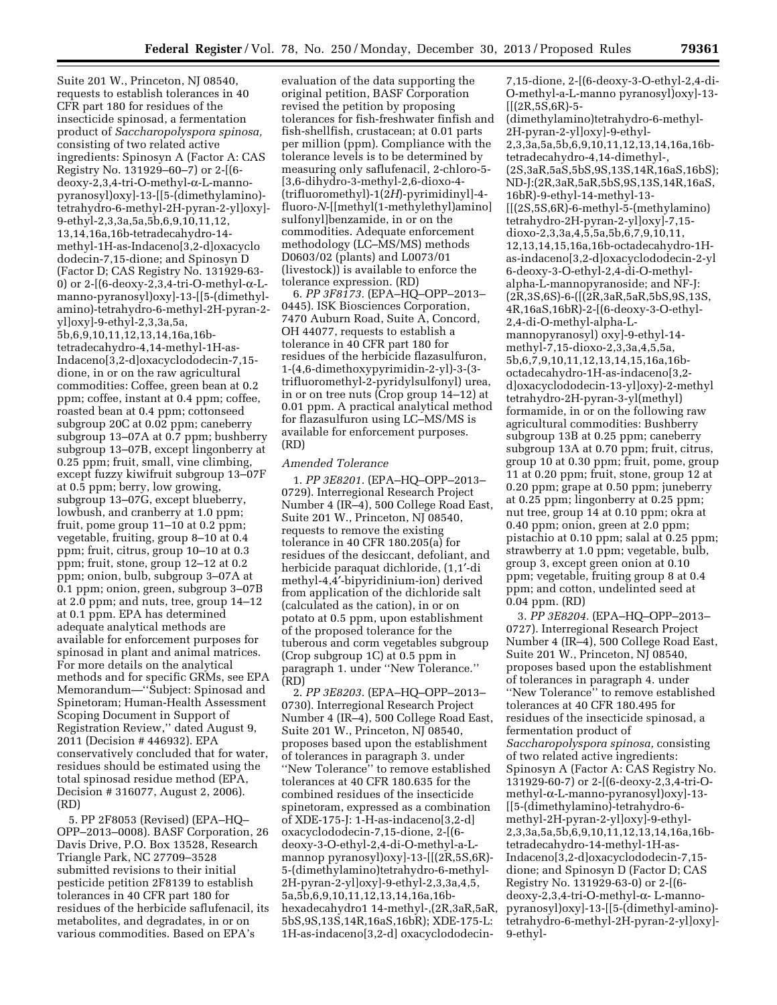Suite 201 W., Princeton, NJ 08540, requests to establish tolerances in 40 CFR part 180 for residues of the insecticide spinosad, a fermentation product of *Saccharopolyspora spinosa,*  consisting of two related active ingredients: Spinosyn A (Factor A: CAS Registry No. 131929–60–7) or 2-[(6 deoxy-2,3,4-tri-O-methyl-a-L-mannopyranosyl)oxy]-13-[[5-(dimethylamino) tetrahydro-6-methyl-2H-pyran-2-yl]oxy]- 9-ethyl-2,3,3a,5a,5b,6,9,10,11,12, 13,14,16a,16b-tetradecahydro-14 methyl-1H-as-Indaceno[3,2-d]oxacyclo dodecin-7,15-dione; and Spinosyn D (Factor D; CAS Registry No. 131929-63- 0) or 2- $[$ (6-deoxy-2,3,4-tri-O-methyl- $\alpha$ -Lmanno-pyranosyl)oxy]-13-[[5-(dimethylamino)-tetrahydro-6-methyl-2H-pyran-2 yl]oxy]-9-ethyl-2,3,3a,5a, 5b,6,9,10,11,12,13,14,16a,16btetradecahydro-4,14-methyl-1H-as-Indaceno[3,2-d]oxacyclododecin-7,15 dione, in or on the raw agricultural commodities: Coffee, green bean at 0.2 ppm; coffee, instant at 0.4 ppm; coffee, roasted bean at 0.4 ppm; cottonseed subgroup 20C at 0.02 ppm; caneberry subgroup 13–07A at 0.7 ppm; bushberry subgroup 13–07B, except lingonberry at 0.25 ppm; fruit, small, vine climbing, except fuzzy kiwifruit subgroup 13–07F at 0.5 ppm; berry, low growing, subgroup 13–07G, except blueberry, lowbush, and cranberry at 1.0 ppm; fruit, pome group 11–10 at 0.2 ppm; vegetable, fruiting, group 8–10 at 0.4 ppm; fruit, citrus, group 10–10 at 0.3 ppm; fruit, stone, group 12–12 at 0.2 ppm; onion, bulb, subgroup 3–07A at 0.1 ppm; onion, green, subgroup 3–07B at 2.0 ppm; and nuts, tree, group 14–12 at 0.1 ppm. EPA has determined adequate analytical methods are available for enforcement purposes for spinosad in plant and animal matrices. For more details on the analytical methods and for specific GRMs, see EPA Memorandum—''Subject: Spinosad and Spinetoram; Human-Health Assessment Scoping Document in Support of Registration Review,'' dated August 9, 2011 (Decision # 446932). EPA conservatively concluded that for water, residues should be estimated using the total spinosad residue method (EPA, Decision # 316077, August 2, 2006). (RD)

5. PP 2F8053 (Revised) (EPA–HQ– OPP–2013–0008). BASF Corporation, 26 Davis Drive, P.O. Box 13528, Research Triangle Park, NC 27709–3528 submitted revisions to their initial pesticide petition 2F8139 to establish tolerances in 40 CFR part 180 for residues of the herbicide saflufenacil, its metabolites, and degradates, in or on various commodities. Based on EPA's

evaluation of the data supporting the original petition, BASF Corporation revised the petition by proposing tolerances for fish-freshwater finfish and fish-shellfish, crustacean; at 0.01 parts per million (ppm). Compliance with the tolerance levels is to be determined by measuring only saflufenacil, 2-chloro-5- [3,6-dihydro-3-methyl-2,6-dioxo-4- (trifluoromethyl)-1(2*H*)-pyrimidinyl]-4 fluoro-*N*-[[methyl(1-methylethyl)amino] sulfonyl]benzamide, in or on the commodities. Adequate enforcement methodology (LC–MS/MS) methods D0603/02 (plants) and L0073/01 (livestock)) is available to enforce the tolerance expression. (RD)

6. *PP 3F8173.* (EPA–HQ–OPP–2013– 0445). ISK Biosciences Corporation, 7470 Auburn Road, Suite A, Concord, OH 44077, requests to establish a tolerance in 40 CFR part 180 for residues of the herbicide flazasulfuron, 1-(4,6-dimethoxypyrimidin-2-yl)-3-(3 trifluoromethyl-2-pyridylsulfonyl) urea, in or on tree nuts (Crop group 14–12) at 0.01 ppm. A practical analytical method for flazasulfuron using LC–MS/MS is available for enforcement purposes. (RD)

#### *Amended Tolerance*

1. *PP 3E8201.* (EPA–HQ–OPP–2013– 0729). Interregional Research Project Number 4 (IR–4), 500 College Road East, Suite 201 W., Princeton, NJ 08540, requests to remove the existing tolerance in 40 CFR 180.205(a) for residues of the desiccant, defoliant, and herbicide paraquat dichloride, (1,1′-di methyl-4,4′-bipyridinium-ion) derived from application of the dichloride salt (calculated as the cation), in or on potato at 0.5 ppm, upon establishment of the proposed tolerance for the tuberous and corm vegetables subgroup (Crop subgroup 1C) at 0.5 ppm in paragraph 1. under ''New Tolerance.'' (RD)

2. *PP 3E8203.* (EPA–HQ–OPP–2013– 0730). Interregional Research Project Number 4 (IR–4), 500 College Road East, Suite 201 W., Princeton, NJ 08540, proposes based upon the establishment of tolerances in paragraph 3. under ''New Tolerance'' to remove established tolerances at 40 CFR 180.635 for the combined residues of the insecticide spinetoram, expressed as a combination of XDE-175-J: 1-H-as-indaceno[3,2-d] oxacyclododecin-7,15-dione, 2-[(6 deoxy-3-O-ethyl-2,4-di-O-methyl-a-Lmannop pyranosyl)oxy]-13-[[(2R,5S,6R)- 5-(dimethylamino)tetrahydro-6-methyl-2H-pyran-2-yl]oxy]-9-ethyl-2,3,3a,4,5, 5a,5b,6,9,10,11,12,13,14,16a,16bhexadecahydro1 14-methyl-,(2R,3aR,5aR, 5bS,9S,13S,14R,16aS,16bR); XDE-175-L: 1H-as-indaceno[3,2-d] oxacyclododecin7,15-dione, 2-[(6-deoxy-3-O-ethyl-2,4-di-O-methyl-a-L-manno pyranosyl)oxy]-13-  $[[(2R,5S,6R)-5-$ 

(dimethylamino)tetrahydro-6-methyl-2H-pyran-2-yl]oxy]-9-ethyl-2,3,3a,5a,5b,6,9,10,11,12,13,14,16a,16btetradecahydro-4,14-dimethyl-, (2S,3aR,5aS,5bS,9S,13S,14R,16aS,16bS); ND-J:(2R,3aR,5aR,5bS,9S,13S,14R,16aS, 16bR)-9-ethyl-14-methyl-13- [[(2S,5S,6R)-6-methyl-5-(methylamino) tetrahydro-2H-pyran-2-yl]oxy]-7,15 dioxo-2,3,3a,4,5,5a,5b,6,7,9,10,11, 12,13,14,15,16a,16b-octadecahydro-1Has-indaceno[3,2-d]oxacyclododecin-2-yl 6-deoxy-3-O-ethyl-2,4-di-O-methylalpha-L-mannopyranoside; and NF-J: (2R,3S,6S)-6-([(2R,3aR,5aR,5bS,9S,13S, 4R,16aS,16bR)-2-[(6-deoxy-3-O-ethyl-2,4-di-O-methyl-alpha-Lmannopyranosyl) oxy]-9-ethyl-14 methyl-7,15-dioxo-2,3,3a,4,5,5a, 5b,6,7,9,10,11,12,13,14,15,16a,16boctadecahydro-1H-as-indaceno[3,2 d]oxacyclododecin-13-yl]oxy)-2-methyl tetrahydro-2H-pyran-3-yl(methyl) formamide, in or on the following raw agricultural commodities: Bushberry subgroup 13B at 0.25 ppm; caneberry subgroup 13A at 0.70 ppm; fruit, citrus, group 10 at 0.30 ppm; fruit, pome, group 11 at 0.20 ppm; fruit, stone, group 12 at 0.20 ppm; grape at 0.50 ppm; juneberry at 0.25 ppm; lingonberry at 0.25 ppm; nut tree, group 14 at 0.10 ppm; okra at 0.40 ppm; onion, green at 2.0 ppm; pistachio at 0.10 ppm; salal at 0.25 ppm; strawberry at 1.0 ppm; vegetable, bulb, group 3, except green onion at 0.10 ppm; vegetable, fruiting group 8 at 0.4 ppm; and cotton, undelinted seed at 0.04 ppm. (RD)

3. *PP 3E8204.* (EPA–HQ–OPP–2013– 0727). Interregional Research Project Number 4 (IR–4), 500 College Road East, Suite 201 W., Princeton, NJ 08540, proposes based upon the establishment of tolerances in paragraph 4. under ''New Tolerance'' to remove established tolerances at 40 CFR 180.495 for residues of the insecticide spinosad, a fermentation product of *Saccharopolyspora spinosa,* consisting of two related active ingredients: Spinosyn A (Factor A: CAS Registry No. 131929-60-7) or 2-[(6-deoxy-2,3,4-tri-Omethyl-a-L-manno-pyranosyl)oxy]-13- [[5-(dimethylamino)-tetrahydro-6 methyl-2H-pyran-2-yl]oxy]-9-ethyl-2,3,3a,5a,5b,6,9,10,11,12,13,14,16a,16btetradecahydro-14-methyl-1H-as-Indaceno[3,2-d]oxacyclododecin-7,15 dione; and Spinosyn D (Factor D; CAS Registry No. 131929-63-0) or 2-[(6 deoxy-2,3,4-tri-O-methyl-a- L-mannopyranosyl)oxy]-13-[[5-(dimethyl-amino) tetrahydro-6-methyl-2H-pyran-2-yl]oxy]- 9-ethyl